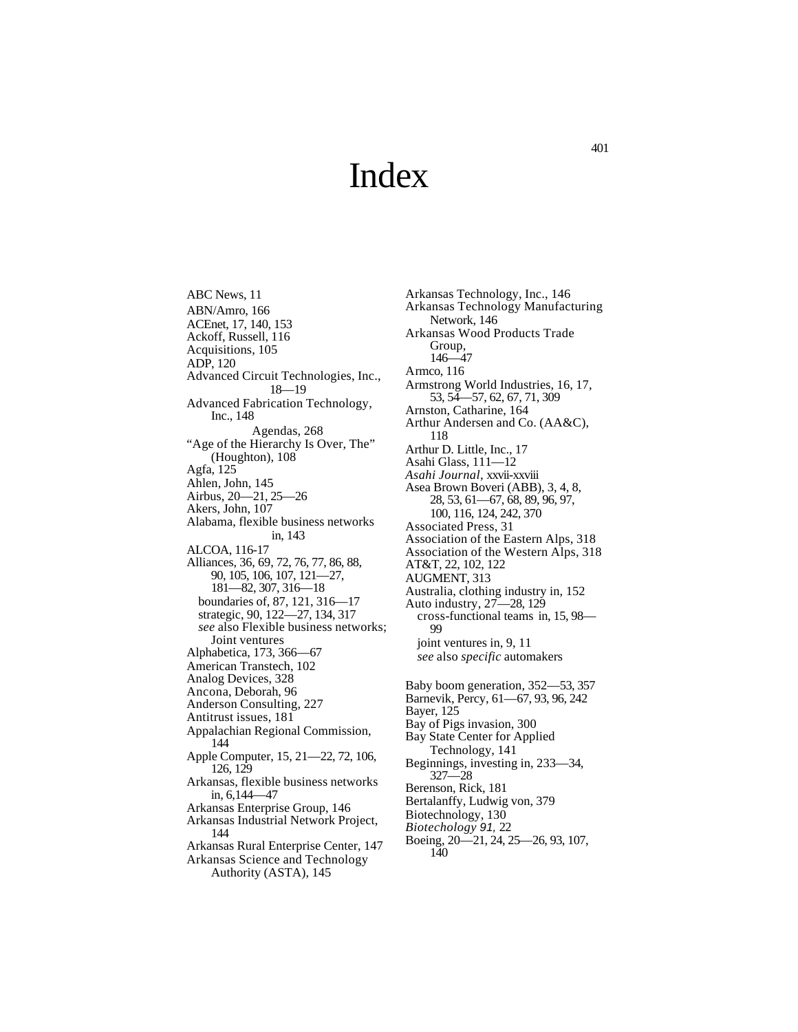## Index

ABC News, 11 ABN/Amro, 166 ACEnet, 17, 140, 153 Ackoff, Russell, 116 Acquisitions, 105 ADP, 120 Advanced Circuit Technologies, Inc., 18—19 Advanced Fabrication Technology, Inc., 148 Agendas, 268 "Age of the Hierarchy Is Over, The" (Houghton), 108 Agfa, 125 Ahlen, John, 145 Airbus, 20—21, 25—26 Akers, John, 107 Alabama, flexible business networks in, 143 ALCOA, 116-17 Alliances, 36, 69, 72, 76, 77, 86, 88, 90, 105, 106, 107, 121—27, 181—82, 307, 316—18 boundaries of, 87, 121, 316—17 strategic, 90, 122—27, 134, 317 *see* also Flexible business networks; Joint ventures Alphabetica, 173, 366—67 American Transtech, 102 Analog Devices, 328 Ancona, Deborah, 96 Anderson Consulting, 227 Antitrust issues, 181 Appalachian Regional Commission, 144 Apple Computer, 15, 21—22, 72, 106, 126, 129 Arkansas, flexible business networks in, 6,144—47 Arkansas Enterprise Group, 146 Arkansas Industrial Network Project, 144 Arkansas Rural Enterprise Center, 147 Arkansas Science and Technology

Authority (ASTA), 145

Arkansas Technology, Inc., 146 Arkansas Technology Manufacturing Network, 146 Arkansas Wood Products Trade Group,  $146 - 47$ Armco, 116 Armstrong World Industries, 16, 17, 53, 54—57, 62, 67, 71, 309 Arnston, Catharine, 164 Arthur Andersen and Co. (AA&C), 118 Arthur D. Little, Inc., 17 Asahi Glass, 111—12 *Asahi Journal,* xxvii-xxviii Asea Brown Boveri (ABB), 3, 4, 8, 28, 53, 61—67, 68, 89, 96, 97, 100, 116, 124, 242, 370 Associated Press, 31 Association of the Eastern Alps, 318 Association of the Western Alps, 318 AT&T, 22, 102, 122 AUGMENT, 313 Australia, clothing industry in, 152 Auto industry, 27—28, 129 cross-functional teams in, 15, 98— 99 joint ventures in, 9, 11 *see* also *specific* automakers Baby boom generation, 352—53, 357 Barnevik, Percy, 61—67, 93, 96, 242 Bayer, 125 Bay of Pigs invasion, 300 Bay State Center for Applied Technology, 141 Beginnings, investing in, 233—34, 327—28 Berenson, Rick, 181 Bertalanffy, Ludwig von, 379 Biotechnology, 130 *Biotechology 91,* 22 Boeing, 20—21, 24, 25—26, 93, 107, 140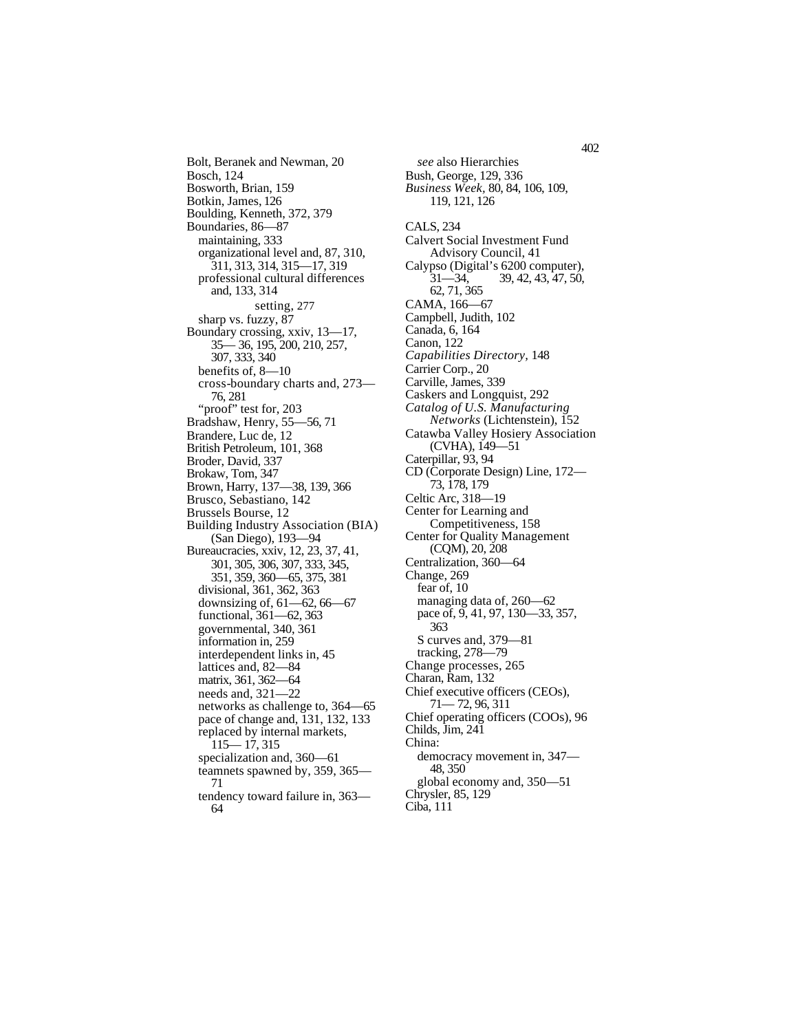Bolt, Beranek and Newman, 20 Bosch, 124 Bosworth, Brian, 159 Botkin, James, 126 Boulding, Kenneth, 372, 379 Boundaries, 86—87 maintaining, 333 organizational level and, 87, 310, 311, 313, 314, 315—17, 319 professional cultural differences and, 133, 314 setting, 277 sharp vs. fuzzy, 87 Boundary crossing, xxiv, 13—17, 35— 36, 195, 200, 210, 257, 307, 333, 340 benefits of, 8—10 cross-boundary charts and, 273— 76, 281 "proof" test for, 203 Bradshaw, Henry, 55—56, 71 Brandere, Luc de, 12 British Petroleum, 101, 368 Broder, David, 337 Brokaw, Tom, 347 Brown, Harry, 137—38, 139, 366 Brusco, Sebastiano, 142 Brussels Bourse, 12 Building Industry Association (BIA) (San Diego), 193—94 Bureaucracies, xxiv, 12, 23, 37, 41, 301, 305, 306, 307, 333, 345, 351, 359, 360—65, 375, 381 divisional, 361, 362, 363 downsizing of, 61—62, 66—67 functional, 361—62, 363 governmental, 340, 361 information in, 259 interdependent links in, 45 lattices and, 82—84 matrix, 361, 362—64 needs and, 321—22 networks as challenge to, 364—65 pace of change and, 131, 132, 133 replaced by internal markets, 115— 17, 315 specialization and, 360—61 teamnets spawned by, 359, 365— 71 tendency toward failure in, 363—

64

*see* also Hierarchies Bush, George, 129, 336 *Business Week,* 80, 84, 106, 109, 119, 121, 126 CALS, 234 Calvert Social Investment Fund Advisory Council, 41 Calypso (Digital's 6200 computer),<br>31—34, 39, 42, 43, 47, 50, 31—34, 39, 42, 43, 47, 50, 62, 71, 365 CAMA, 166—67 Campbell, Judith, 102 Canada, 6, 164 Canon, 122 *Capabilities Directory,* 148 Carrier Corp., 20 Carville, James, 339 Caskers and Longquist, 292 *Catalog of U.S. Manufacturing Networks* (Lichtenstein), 152 Catawba Valley Hosiery Association (CVHA), 149—51 Caterpillar, 93, 94 CD (Corporate Design) Line, 172— 73, 178, 179 Celtic Arc, 318—19 Center for Learning and Competitiveness, 158 Center for Quality Management (CQM), 20, 208 Centralization, 360—64 Change, 269 fear of, 10 managing data of, 260—62 pace of, 9, 41, 97, 130—33, 357, 363 S curves and, 379—81 tracking, 278—79 Change processes, 265 Charan, Ram, 132 Chief executive officers (CEOs), 71— 72, 96, 311 Chief operating officers (COOs), 96 Childs, Jim, 241 China: democracy movement in, 347— 48, 350 global economy and, 350—51 Chrysler, 85, 129

Ciba, 111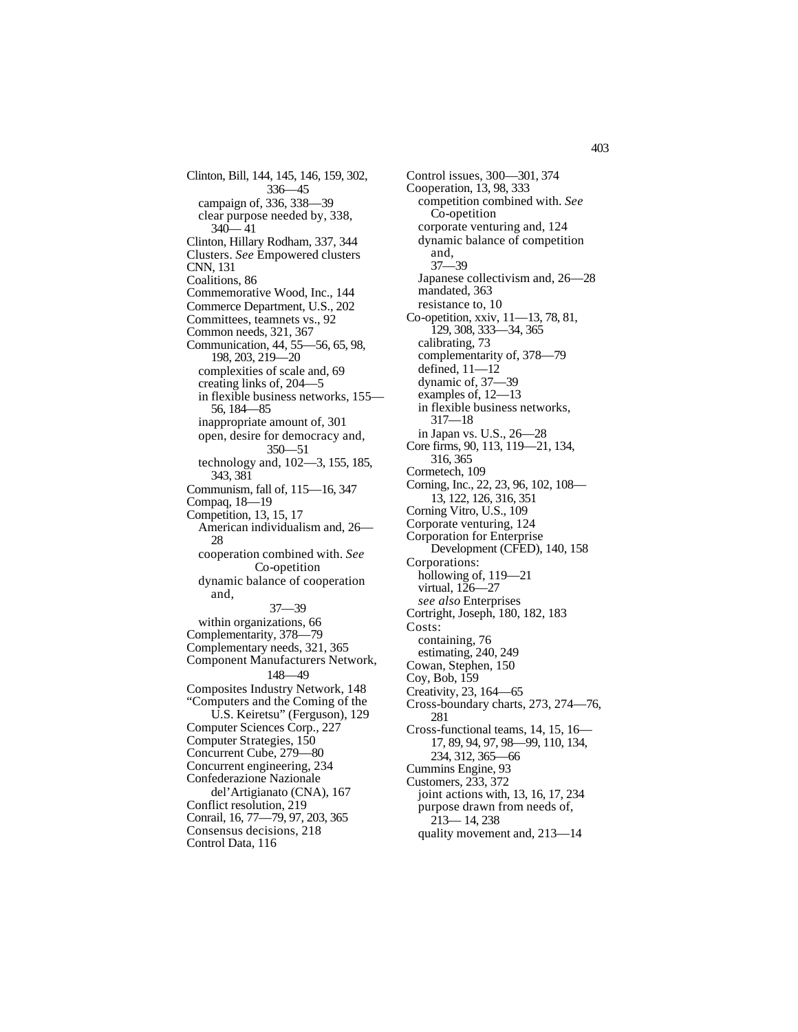Clinton, Bill, 144, 145, 146, 159, 302, 336—45 campaign of, 336, 338—39 clear purpose needed by, 338,  $340 - 41$ Clinton, Hillary Rodham, 337, 344 Clusters. *See* Empowered clusters CNN, 131 Coalitions, 86 Commemorative Wood, Inc., 144 Commerce Department, U.S., 202 Committees, teamnets vs., 92 Common needs, 321, 367 Communication, 44, 55—56, 65, 98, 198, 203, 219—20 complexities of scale and, 69 creating links of, 204—5 in flexible business networks, 155— 56, 184—85 inappropriate amount of, 301 open, desire for democracy and, 350—51 technology and, 102—3, 155, 185, 343, 381 Communism, fall of, 115—16, 347 Compaq, 18—19 Competition, 13, 15, 17 American individualism and, 26— 28 cooperation combined with. *See* Co-opetition dynamic balance of cooperation and, 37—39 within organizations, 66 Complementarity, 378—79 Complementary needs, 321, 365 Component Manufacturers Network, 148—49 Composites Industry Network, 148 "Computers and the Coming of the U.S. Keiretsu" (Ferguson), 129 Computer Sciences Corp., 227 Computer Strategies, 150 Concurrent Cube, 279—80 Concurrent engineering, 234 Confederazione Nazionale del'Artigianato (CNA), 167 Conflict resolution, 219 Conrail, 16, 77—79, 97, 203, 365 Consensus decisions, 218 Control Data, 116

Control issues, 300—301, 374 Cooperation, 13, 98, 333 competition combined with. *See* Co-opetition corporate venturing and, 124 dynamic balance of competition and, 37—39 Japanese collectivism and, 26—28 mandated, 363 resistance to, 10 Co-opetition, xxiv, 11—13, 78, 81, 129, 308, 333—34, 365 calibrating, 73 complementarity of, 378—79 defined, 11—12 dynamic of, 37—39 examples of, 12—13 in flexible business networks, 317—18 in Japan vs. U.S., 26—28 Core firms, 90, 113, 119—21, 134, 316, 365 Cormetech, 109 Corning, Inc., 22, 23, 96, 102, 108— 13, 122, 126, 316, 351 Corning Vitro, U.S., 109 Corporate venturing, 124 Corporation for Enterprise Development (CFED), 140, 158 Corporations: hollowing of,  $119 - 21$ virtual, 126—27 *see also* Enterprises Cortright, Joseph, 180, 182, 183 Costs: containing, 76 estimating, 240, 249 Cowan, Stephen, 150 Coy, Bob, 159 Creativity, 23, 164—65 Cross-boundary charts, 273, 274—76, 281 Cross-functional teams, 14, 15, 16— 17, 89, 94, 97, 98—99, 110, 134, 234, 312, 365—66 Cummins Engine, 93 Customers, 233, 372 joint actions with, 13, 16, 17, 234 purpose drawn from needs of, 213— 14, 238 quality movement and, 213—14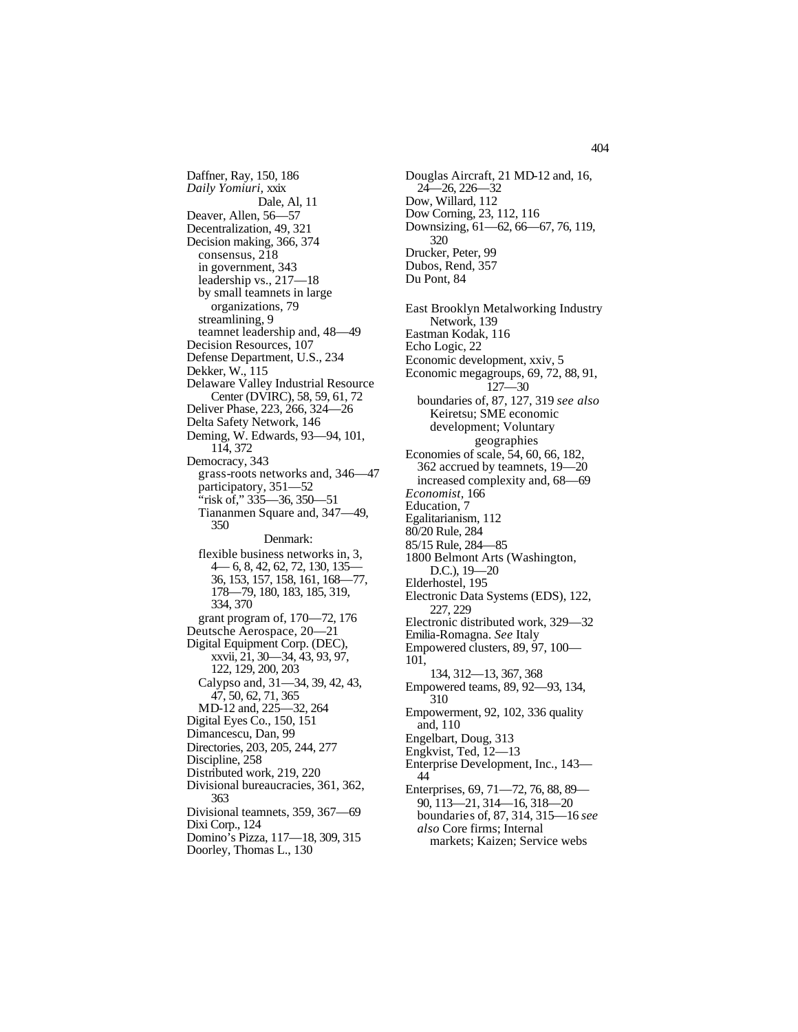Daffner, Ray, 150, 186 *Daily Yomiuri,* xxix Dale, Al, 11 Deaver, Allen, 56—57 Decentralization, 49, 321 Decision making, 366, 374 consensus, 218 in government, 343 leadership vs., 217—18 by small teamnets in large organizations, 79 streamlining, 9 teamnet leadership and, 48—49 Decision Resources, 107 Defense Department, U.S., 234 Dekker, W., 115 Delaware Valley Industrial Resource Center (DVIRC), 58, 59, 61, 72 Deliver Phase, 223, 266, 324—26 Delta Safety Network, 146 Deming, W. Edwards, 93—94, 101, 114, 372 Democracy, 343 grass-roots networks and, 346—47 participatory, 351—52 "risk of," 335—36, 350—51 Tiananmen Square and, 347—49, 350 Denmark: flexible business networks in, 3, 4— 6, 8, 42, 62, 72, 130, 135— 36, 153, 157, 158, 161, 168—77, 178—79, 180, 183, 185, 319, 334, 370 grant program of, 170—72, 176 Deutsche Aerospace, 20—21 Digital Equipment Corp. (DEC), xxvii, 21, 30—34, 43, 93, 97, 122, 129, 200, 203 Calypso and, 31—34, 39, 42, 43, 47, 50, 62, 71, 365 MD-12 and, 225—32, 264 Digital Eyes Co., 150, 151 Dimancescu, Dan, 99 Directories, 203, 205, 244, 277 Discipline, 258 Distributed work, 219, 220 Divisional bureaucracies, 361, 362, 363 Divisional teamnets, 359, 367—69 Dixi Corp., 124 Domino's Pizza, 117—18, 309, 315 Doorley, Thomas L., 130

Douglas Aircraft, 21 MD-12 and, 16, 24—26, 226—32 Dow, Willard, 112 Dow Corning, 23, 112, 116 Downsizing, 61—62, 66—67, 76, 119, 320 Drucker, Peter, 99 Dubos, Rend, 357 Du Pont, 84 East Brooklyn Metalworking Industry Network, 139 Eastman Kodak, 116 Echo Logic, 22 Economic development, xxiv, 5 Economic megagroups, 69, 72, 88, 91, 127—30 boundaries of, 87, 127, 319 *see also*  Keiretsu; SME economic development; Voluntary geographies Economies of scale, 54, 60, 66, 182, 362 accrued by teamnets, 19—20 increased complexity and, 68—69 *Economist,* 166 Education, 7 Egalitarianism, 112 80/20 Rule, 284 85/15 Rule, 284—85 1800 Belmont Arts (Washington, D.C.), 19—20 Elderhostel, 195 Electronic Data Systems (EDS), 122, 227, 229 Electronic distributed work, 329—32 Emilia-Romagna. *See* Italy Empowered clusters, 89, 97, 100— 101, 134, 312—13, 367, 368 Empowered teams, 89, 92—93, 134, 310 Empowerment, 92, 102, 336 quality and, 110 Engelbart, Doug, 313 Engkvist, Ted, 12—13 Enterprise Development, Inc., 143— 44 Enterprises, 69, 71—72, 76, 88, 89— 90, 113—21, 314—16, 318—20 boundaries of, 87, 314, 315—16 *see also* Core firms; Internal markets; Kaizen; Service webs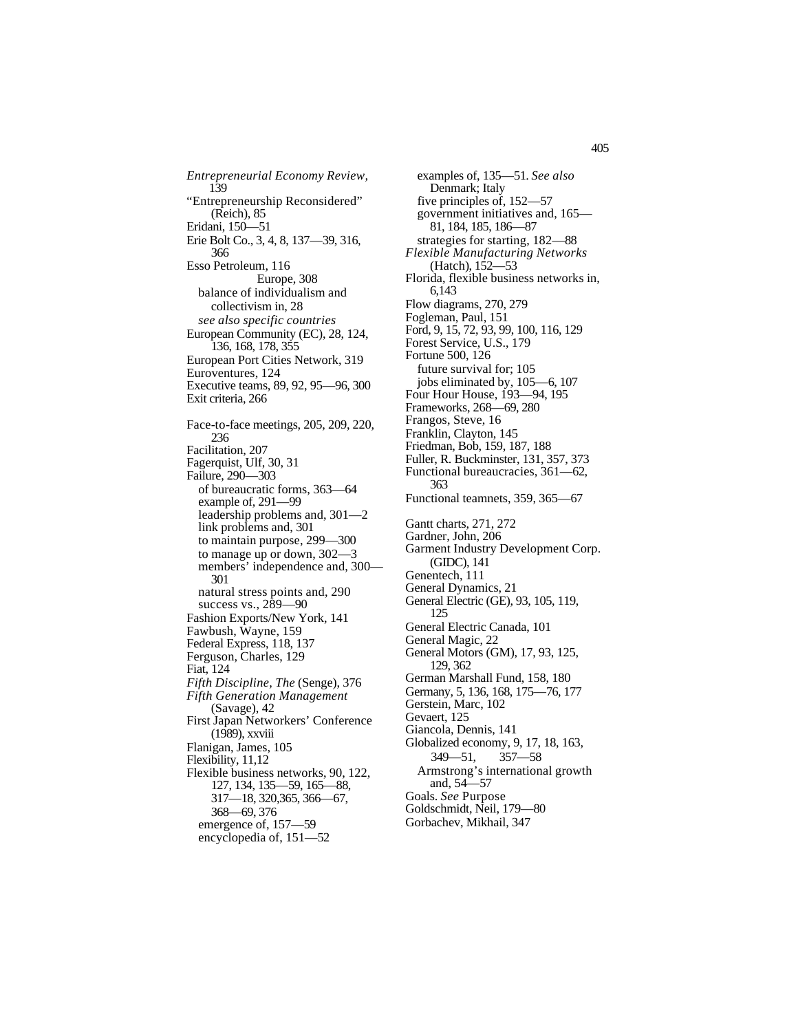*Entrepreneurial Economy Review,*  139 "Entrepreneurship Reconsidered" (Reich), 85 Eridani, 150—51 Erie Bolt Co., 3, 4, 8, 137—39, 316, 366 Esso Petroleum, 116 Europe, 308 balance of individualism and collectivism in, 28 *see also specific countries* European Community (EC), 28, 124, 136, 168, 178, 355 European Port Cities Network, 319 Euroventures, 124 Executive teams, 89, 92, 95—96, 300 Exit criteria, 266 Face-to-face meetings, 205, 209, 220, 236 Facilitation, 207 Fagerquist, Ulf, 30, 31 Failure, 290—303 of bureaucratic forms, 363—64 example of, 291—99 leadership problems and, 301—2 link problems and, 301 to maintain purpose, 299—300 to manage up or down, 302—3 members' independence and, 300— 301 natural stress points and, 290 success vs., 289—90 Fashion Exports/New York, 141 Fawbush, Wayne, 159 Federal Express, 118, 137 Ferguson, Charles, 129 Fiat, 124 *Fifth Discipline, The* (Senge), 376 *Fifth Generation Management* (Savage), 42 First Japan Networkers' Conference (1989), xxviii Flanigan, James, 105 Flexibility, 11,12 Flexible business networks, 90, 122, 127, 134, 135—59, 165—88, 317—18, 320,365, 366—67, 368—69, 376 emergence of, 157—59 encyclopedia of, 151—52

examples of, 135—51. *See also* Denmark; Italy five principles of, 152—57 government initiatives and, 165— 81, 184, 185, 186—87 strategies for starting, 182—88 *Flexible Manufacturing Networks* (Hatch), 152—53 Florida, flexible business networks in, 6,143 Flow diagrams, 270, 279 Fogleman, Paul, 151 Ford, 9, 15, 72, 93, 99, 100, 116, 129 Forest Service, U.S., 179 Fortune 500, 126 future survival for; 105 jobs eliminated by, 105—6, 107 Four Hour House, 193—94, 195 Frameworks, 268—69, 280 Frangos, Steve, 16 Franklin, Clayton, 145 Friedman, Bob, 159, 187, 188 Fuller, R. Buckminster, 131, 357, 373 Functional bureaucracies, 361—62, 363 Functional teamnets, 359, 365—67 Gantt charts, 271, 272 Gardner, John, 206 Garment Industry Development Corp. (GIDC), 141 Genentech, 111 General Dynamics, 21 General Electric (GE), 93, 105, 119, 125 General Electric Canada, 101 General Magic, 22 General Motors (GM), 17, 93, 125, 129, 362 German Marshall Fund, 158, 180 Germany, 5, 136, 168, 175—76, 177 Gerstein, Marc, 102 Gevaert, 125 Giancola, Dennis, 141 Globalized economy, 9, 17, 18, 163, 349—51, 357—58 Armstrong's international growth and, 54—57 Goals. *See* Purpose Goldschmidt, Neil, 179—80 Gorbachev, Mikhail, 347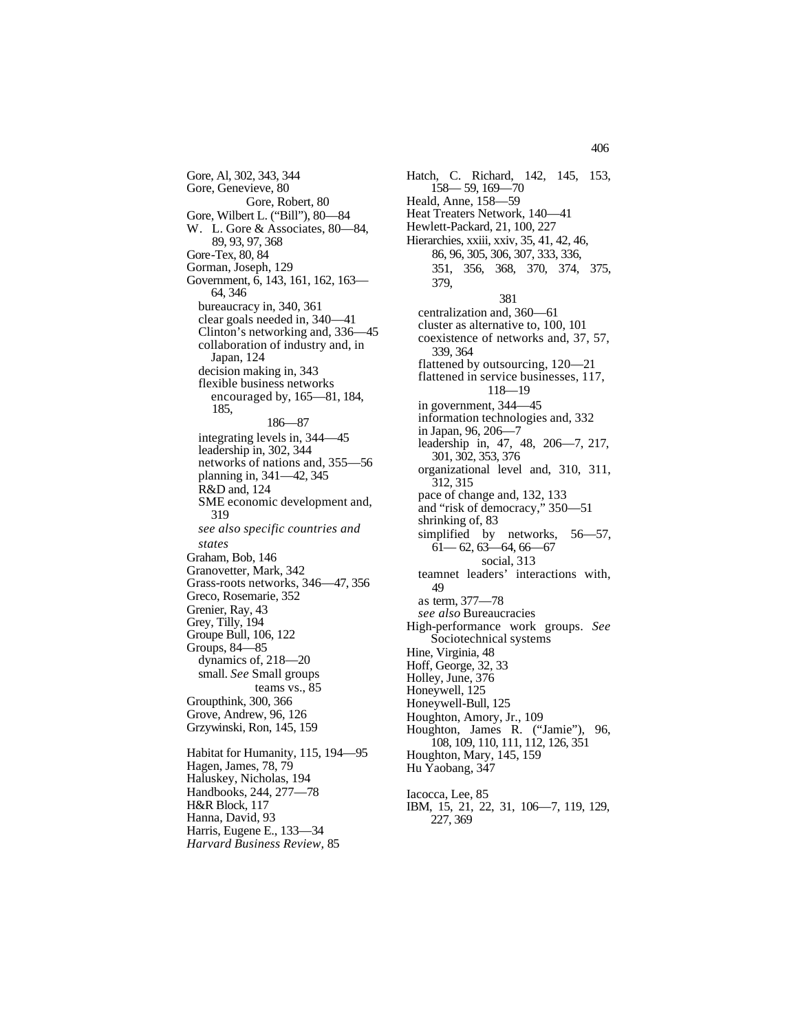Gore, Al, 302, 343, 344 Gore, Genevieve, 80 Gore, Robert, 80 Gore, Wilbert L. ("Bill"), 80—84 W. L. Gore & Associates, 80—84, 89, 93, 97, 368 Gore-Tex, 80, 84 Gorman, Joseph, 129 Government, 6, 143, 161, 162, 163— 64, 346 bureaucracy in, 340, 361 clear goals needed in, 340—41 Clinton's networking and, 336—45 collaboration of industry and, in Japan, 124 decision making in, 343 flexible business networks encouraged by, 165—81, 184, 185, 186—87 integrating levels in, 344—45 leadership in, 302, 344 networks of nations and, 355—56 planning in, 341—42, 345 R&D and, 124 SME economic development and, 319 *see also specific countries and states* Graham, Bob, 146 Granovetter, Mark, 342 Grass-roots networks, 346—47, 356 Greco, Rosemarie, 352 Grenier, Ray, 43 Grey, Tilly, 194 Groupe Bull, 106, 122 Groups, 84—85 dynamics of, 218—20 small. *See* Small groups teams vs., 85 Groupthink, 300, 366 Grove, Andrew, 96, 126 Grzywinski, Ron, 145, 159 Habitat for Humanity, 115, 194—95 Hagen, James, 78, 79 Haluskey, Nicholas, 194 Handbooks, 244, 277—78 H&R Block, 117 Hanna, David, 93 Harris, Eugene E., 133—34

*Harvard Business Review,* 85

Hatch, C. Richard, 142, 145, 153, 158— 59, 169—70 Heald, Anne, 158—59 Heat Treaters Network, 140—41 Hewlett-Packard, 21, 100, 227 Hierarchies, xxiii, xxiv, 35, 41, 42, 46, 86, 96, 305, 306, 307, 333, 336, 351, 356, 368, 370, 374, 375, 379, 381 centralization and, 360—61 cluster as alternative to, 100, 101 coexistence of networks and, 37, 57, 339, 364 flattened by outsourcing, 120—21 flattened in service businesses, 117, 118—19 in government, 344—45 information technologies and, 332 in Japan, 96, 206—7 leadership in, 47, 48, 206—7, 217, 301, 302, 353, 376 organizational level and, 310, 311, 312, 315 pace of change and, 132, 133 and "risk of democracy," 350—51 shrinking of, 83 simplified by networks, 56—57,  $61 - 62, 63 - 64, 66 - 67$ social, 313 teamnet leaders' interactions with, 49 as term, 377—78 *see also* Bureaucracies High-performance work groups. *See*  Sociotechnical systems Hine, Virginia, 48 Hoff, George, 32, 33 Holley, June, 376 Honeywell, 125 Honeywell-Bull, 125 Houghton, Amory, Jr., 109 Houghton, James R. ("Jamie"), 96, 108, 109, 110, 111, 112, 126, 351 Houghton, Mary, 145, 159 Hu Yaobang, 347 Iacocca, Lee, 85 IBM, 15, 21, 22, 31, 106—7, 119, 129, 227, 369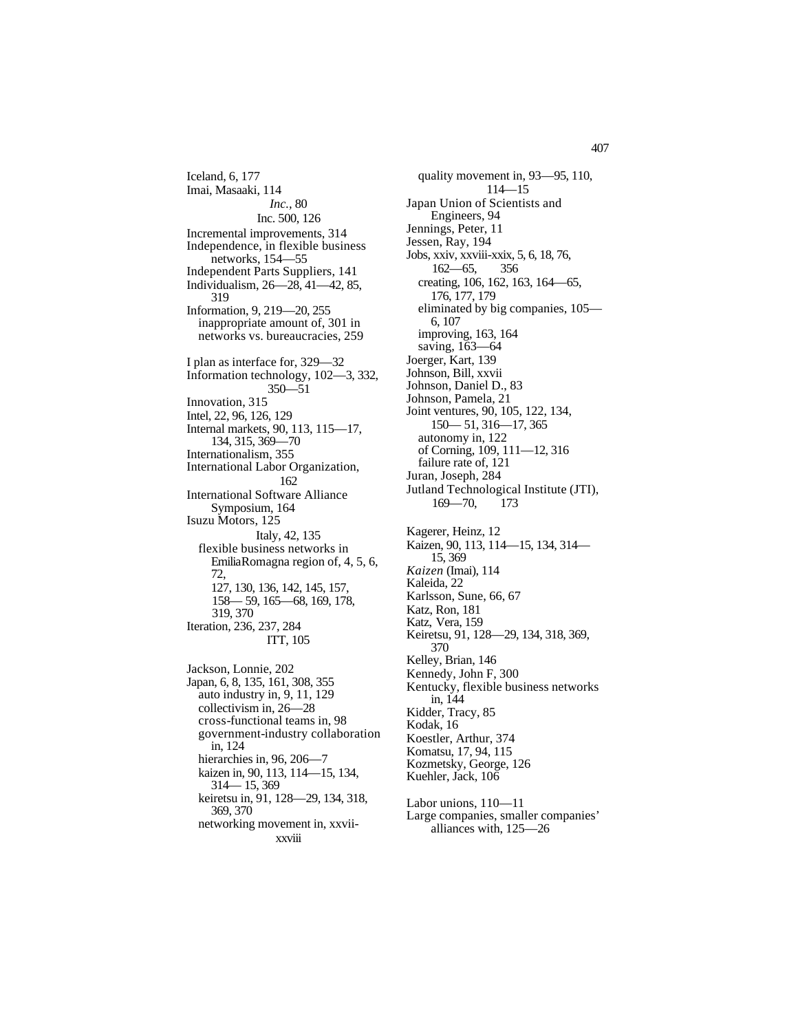Iceland, 6, 177 Imai, Masaaki, 114 *Inc.,* 80 Inc. 500, 126 Incremental improvements, 314 Independence, in flexible business networks, 154—55 Independent Parts Suppliers, 141 Individualism, 26—28, 41—42, 85, 319 Information, 9, 219—20, 255 inappropriate amount of, 301 in networks vs. bureaucracies, 259 I plan as interface for, 329—32 Information technology, 102—3, 332, 350—51 Innovation, 315 Intel, 22, 96, 126, 129 Internal markets, 90, 113, 115—17, 134, 315, 369—70 Internationalism, 355 International Labor Organization, 162 International Software Alliance Symposium, 164 Isuzu Motors, 125 Italy, 42, 135 flexible business networks in EmiliaRomagna region of, 4, 5, 6, 72, 127, 130, 136, 142, 145, 157, 158— 59, 165—68, 169, 178, 319, 370 Iteration, 236, 237, 284 ITT, 105 Jackson, Lonnie, 202 Japan, 6, 8, 135, 161, 308, 355 auto industry in, 9, 11, 129 collectivism in, 26—28 cross-functional teams in, 98 government-industry collaboration

in, 124 hierarchies in, 96, 206-7 kaizen in, 90, 113, 114—15, 134, 314— 15, 369 keiretsu in, 91, 128—29, 134, 318, 369, 370 networking movement in, xxviixxviii

quality movement in, 93—95, 110, 114—15 Japan Union of Scientists and Engineers, 94 Jennings, Peter, 11 Jessen, Ray, 194 Jobs, xxiv, xxviii-xxix, 5, 6, 18, 76, 162—65, 356 creating, 106, 162, 163, 164—65, 176, 177, 179 eliminated by big companies, 105— 6, 107 improving, 163, 164 saving, 163—64 Joerger, Kart, 139 Johnson, Bill, xxvii Johnson, Daniel D., 83 Johnson, Pamela, 21 Joint ventures, 90, 105, 122, 134, 150— 51, 316—17, 365 autonomy in, 122 of Corning, 109, 111—12, 316 failure rate of, 121 Juran, Joseph, 284 Jutland Technological Institute (JTI), 169—70, 173 Kagerer, Heinz, 12 Kaizen, 90, 113, 114—15, 134, 314— 15, 369 *Kaizen* (Imai), 114 Kaleida, 22 Karlsson, Sune, 66, 67 Katz, Ron, 181 Katz, Vera, 159 Keiretsu, 91, 128—29, 134, 318, 369, 370 Kelley, Brian, 146 Kennedy, John F, 300 Kentucky, flexible business networks in, 144 Kidder, Tracy, 85 Kodak, 16 Koestler, Arthur, 374 Komatsu, 17, 94, 115 Kozmetsky, George, 126 Kuehler, Jack, 106

Labor unions, 110—11 Large companies, smaller companies' alliances with, 125—26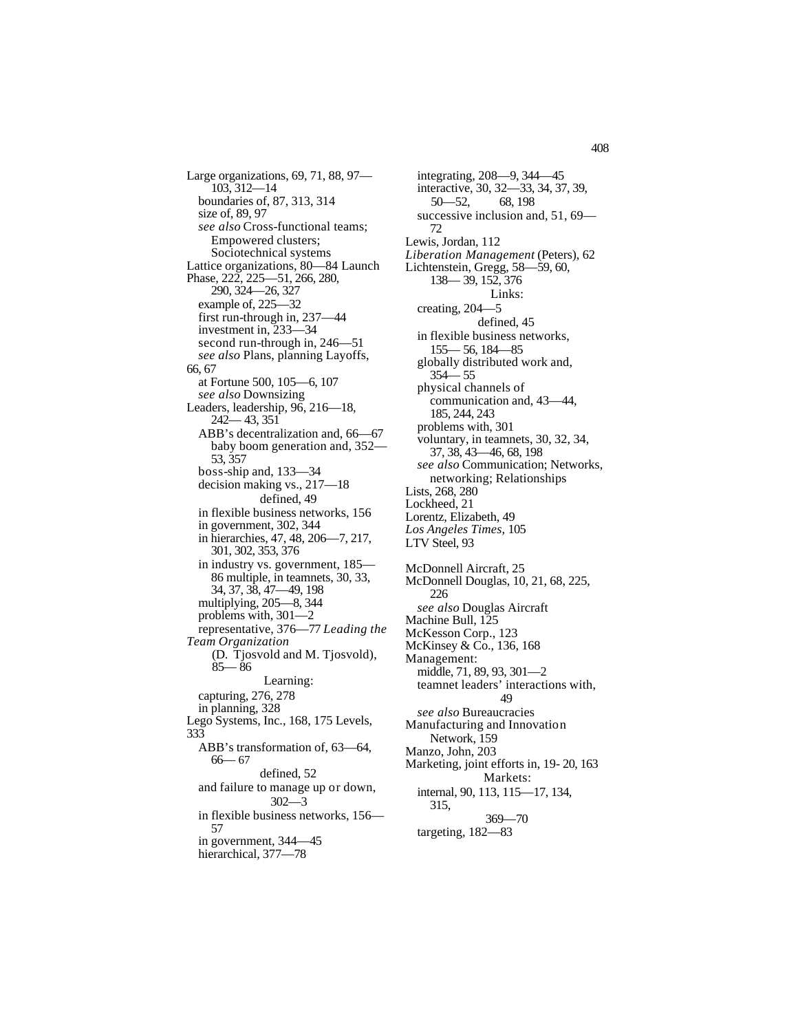Large organizations, 69, 71, 88, 97— 103, 312—14 boundaries of, 87, 313, 314 size of, 89, 97 *see also* Cross-functional teams; Empowered clusters; Sociotechnical systems Lattice organizations, 80—84 Launch Phase, 222, 225—51, 266, 280, 290, 324—26, 327 example of, 225—32 first run-through in, 237—44 investment in, 233—34 second run-through in, 246—51 *see also* Plans, planning Layoffs, 66, 67 at Fortune 500, 105—6, 107 *see also* Downsizing Leaders, leadership, 96, 216—18, 242— 43, 351 ABB's decentralization and, 66—67 baby boom generation and, 352— 53, 357 boss-ship and, 133—34 decision making vs., 217—18 defined, 49 in flexible business networks, 156 in government, 302, 344 in hierarchies, 47, 48, 206—7, 217, 301, 302, 353, 376 in industry vs. government, 185— 86 multiple, in teamnets, 30, 33, 34, 37, 38, 47—49, 198 multiplying, 205—8, 344 problems with, 301—2 representative, 376—77 *Leading the Team Organization* (D. Tjosvold and M. Tjosvold), 85— 86 Learning: capturing, 276, 278 in planning, 328 Lego Systems, Inc., 168, 175 Levels, 333 ABB's transformation of, 63—64, 66— 67 defined, 52 and failure to manage up or down, 302—3 in flexible business networks, 156— 57 in government, 344—45

hierarchical, 377-78

integrating, 208—9, 344—45 interactive, 30, 32—33, 34, 37, 39, 50—52, 68, 198 successive inclusion and, 51, 69— 72 Lewis, Jordan, 112 *Liberation Management* (Peters), 62 Lichtenstein, Gregg, 58—59, 60, 138— 39, 152, 376 Links: creating, 204—5 defined, 45 in flexible business networks, 155— 56, 184—85 globally distributed work and, 354— 55 physical channels of communication and, 43—44, 185, 244, 243 problems with, 301 voluntary, in teamnets, 30, 32, 34, 37, 38, 43—46, 68, 198 *see also* Communication; Networks, networking; Relationships Lists, 268, 280 Lockheed, 21 Lorentz, Elizabeth, 49 *Los Angeles Times,* 105 LTV Steel, 93 McDonnell Aircraft, 25 McDonnell Douglas, 10, 21, 68, 225, 226 *see also* Douglas Aircraft Machine Bull, 125 McKesson Corp., 123 McKinsey & Co., 136, 168 Management: middle, 71, 89, 93, 301—2 teamnet leaders' interactions with, 49 *see also* Bureaucracies Manufacturing and Innovation Network, 159 Manzo, John, 203 Marketing, joint efforts in, 19- 20, 163 Markets: internal, 90, 113, 115—17, 134, 315, 369—70 targeting, 182—83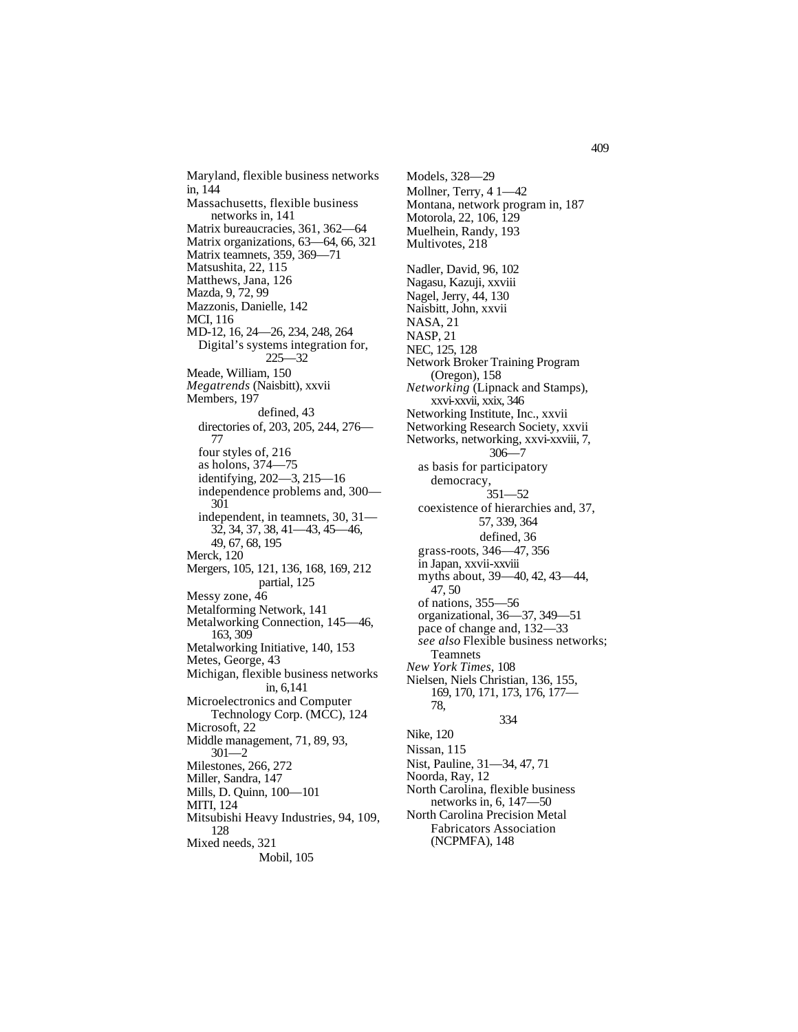Maryland, flexible business networks in, 144 Massachusetts, flexible business networks in, 141 Matrix bureaucracies, 361, 362—64 Matrix organizations, 63—64, 66, 321 Matrix teamnets, 359, 369—71 Matsushita, 22, 115 Matthews, Jana, 126 Mazda, 9, 72, 99 Mazzonis, Danielle, 142 MCI, 116 MD-12, 16, 24—26, 234, 248, 264 Digital's systems integration for, 225—32 Meade, William, 150 *Megatrends* (Naisbitt), xxvii Members, 197 defined, 43 directories of, 203, 205, 244, 276— 77 four styles of, 216 as holons, 374—75 identifying, 202—3, 215—16 independence problems and, 300— 301 independent, in teamnets, 30, 31— 32, 34, 37, 38, 41—43, 45—46, 49, 67, 68, 195 Merck, 120 Mergers, 105, 121, 136, 168, 169, 212 partial, 125 Messy zone, 46 Metalforming Network, 141 Metalworking Connection, 145—46, 163, 309 Metalworking Initiative, 140, 153 Metes, George, 43 Michigan, flexible business networks in, 6,141 Microelectronics and Computer Technology Corp. (MCC), 124 Microsoft, 22 Middle management, 71, 89, 93, 301—2 Milestones, 266, 272 Miller, Sandra, 147 Mills, D. Quinn, 100—101 MITI, 124 Mitsubishi Heavy Industries, 94, 109, 128 Mixed needs, 321 Mobil, 105

Models, 328—29 Mollner, Terry, 4 1—42 Montana, network program in, 187 Motorola, 22, 106, 129 Muelhein, Randy, 193 Multivotes, 218 Nadler, David, 96, 102 Nagasu, Kazuji, xxviii Nagel, Jerry, 44, 130 Naisbitt, John, xxvii NASA, 21 NASP, 21 NEC, 125, 128 Network Broker Training Program (Oregon), 158 *Networking* (Lipnack and Stamps), xxvi-xxvii, xxix, 346 Networking Institute, Inc., xxvii Networking Research Society, xxvii Networks, networking, xxvi-xxviii, 7, 306—7 as basis for participatory democracy, 351—52 coexistence of hierarchies and, 37, 57, 339, 364 defined, 36 grass-roots, 346—47, 356 in Japan, xxvii-xxviii myths about, 39—40, 42, 43—44, 47, 50 of nations, 355—56 organizational, 36—37, 349—51 pace of change and, 132—33 *see also* Flexible business networks; Teamnets *New York Times,* 108 Nielsen, Niels Christian, 136, 155, 169, 170, 171, 173, 176, 177— 78, 334 Nike, 120 Nissan, 115 Nist, Pauline, 31—34, 47, 71 Noorda, Ray, 12 North Carolina, flexible business networks in, 6, 147—50 North Carolina Precision Metal Fabricators Association

(NCPMFA), 148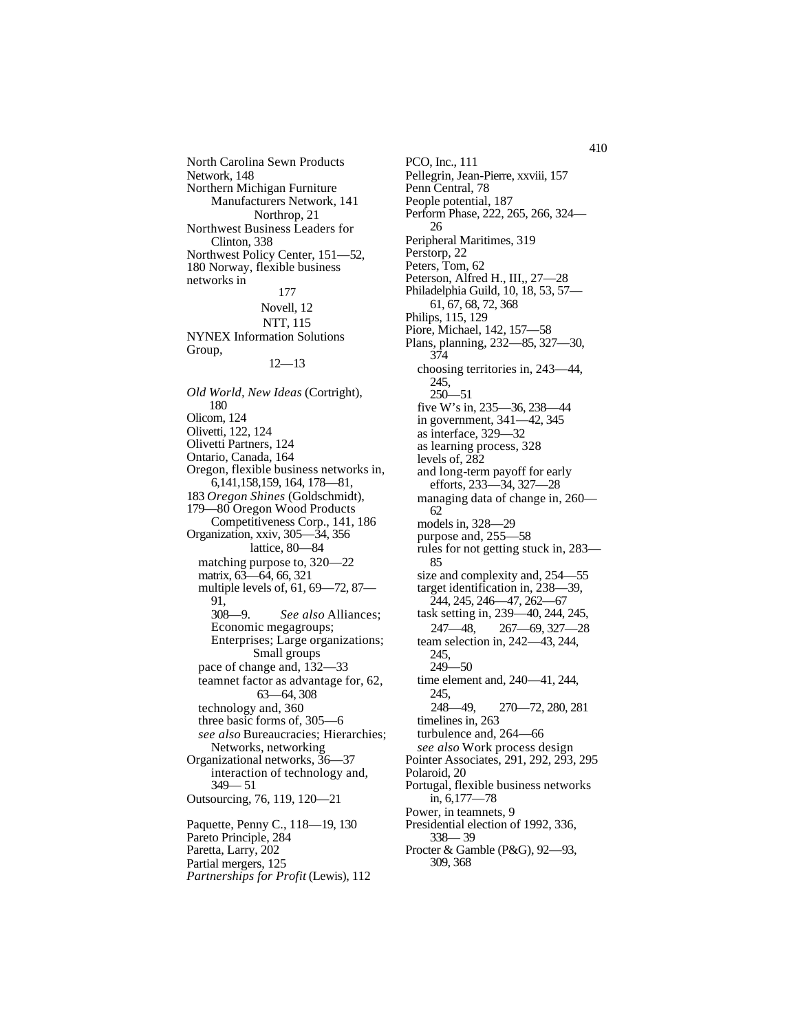North Carolina Sewn Products Network, 148 Northern Michigan Furniture Manufacturers Network, 141 Northrop, 21 Northwest Business Leaders for Clinton, 338 Northwest Policy Center, 151—52, 180 Norway, flexible business networks in 177 Novell, 12 NTT, 115 NYNEX Information Solutions Group, 12—13

*Old World, New Ideas* (Cortright), 180 Olicom, 124 Olivetti, 122, 124 Olivetti Partners, 124 Ontario, Canada, 164 Oregon, flexible business networks in, 6,141,158,159, 164, 178—81, 183 *Oregon Shines* (Goldschmidt), 179—80 Oregon Wood Products Competitiveness Corp., 141, 186 Organization, xxiv, 305—34, 356 lattice, 80—84 matching purpose to, 320—22 matrix, 63—64, 66, 321 multiple levels of, 61, 69—72, 87— 91, 308—9. *See also* Alliances; Economic megagroups; Enterprises; Large organizations; Small groups pace of change and, 132—33 teamnet factor as advantage for, 62, 63—64, 308 technology and, 360 three basic forms of, 305—6 *see also* Bureaucracies; Hierarchies; Networks, networking Organizational networks, 36—37 interaction of technology and, 349— 51 Outsourcing, 76, 119, 120—21 Paquette, Penny C., 118—19, 130 Pareto Principle, 284 Paretta, Larry, 202 Partial mergers, 125 *Partnerships for Profit* (Lewis), 112

PCO, Inc., 111 Pellegrin, Jean-Pierre, xxviii, 157 Penn Central, 78 People potential, 187 Perform Phase, 222, 265, 266, 324— 26 Peripheral Maritimes, 319 Perstorp, 22 Peters, Tom, 62 Peterson, Alfred H., III,, 27—28 Philadelphia Guild, 10, 18, 53, 57— 61, 67, 68, 72, 368 Philips, 115, 129 Piore, Michael, 142, 157—58 Plans, planning, 232—85, 327—30, 374 choosing territories in, 243—44, 245, 250—51 five W's in, 235—36, 238—44 in government, 341—42, 345 as interface, 329—32 as learning process, 328 levels of,  $\bar{2}82$ and long-term payoff for early efforts, 233—34, 327—28 managing data of change in, 260— 62 models in, 328—29 purpose and, 255—58 rules for not getting stuck in, 283— 85 size and complexity and, 254—55 target identification in, 238—39, 244, 245, 246—47, 262—67 task setting in, 239—40, 244, 245, 247—48, 267—69, 327—28 team selection in, 242—43, 244, 245, 249—50 time element and, 240—41, 244, 245, 248—49, 270—72, 280, 281 timelines in, 263 turbulence and, 264—66 *see also* Work process design Pointer Associates, 291, 292, 293, 295 Polaroid, 20 Portugal, flexible business networks in, 6,177—78 Power, in teamnets, 9 Presidential election of 1992, 336, 338— 39 Procter & Gamble (P&G), 92—93, 309, 368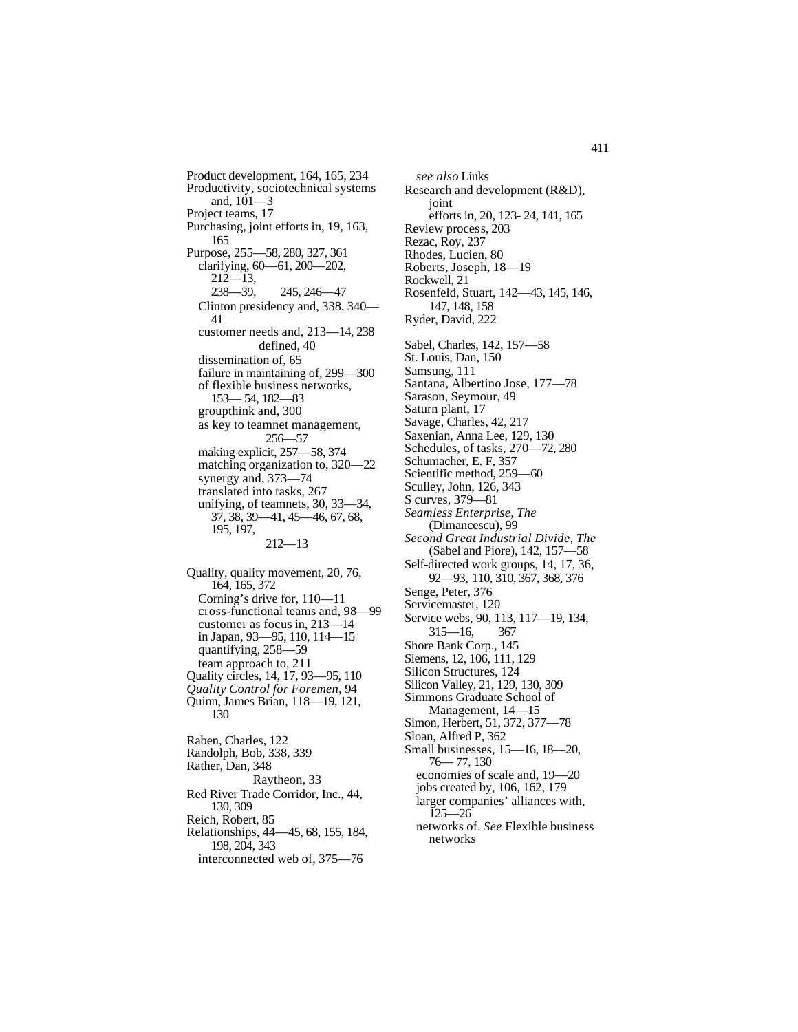Product development, 164, 165, 234 Productivity, sociotechnical systems and, 101—3 Project teams, 17 Purchasing, joint efforts in, 19, 163, 165 Purpose, 255—58, 280, 327, 361 clarifying, 60—61, 200—202,  $212 - 13$ 238—39, 245, 246—47 Clinton presidency and, 338, 340— 41 customer needs and, 213—14, 238 defined, 40 dissemination of, 65 failure in maintaining of, 299—300 of flexible business networks, 153— 54, 182—83 groupthink and, 300 as key to teamnet management, 256—57 making explicit, 257—58, 374 matching organization to, 320—22 synergy and, 373—74 translated into tasks, 267 unifying, of teamnets, 30, 33—34, 37, 38, 39—41, 45—46, 67, 68, 195, 197, 212—13

Quality, quality movement, 20, 76, 164, 165, 372 Corning's drive for, 110—11 cross-functional teams and, 98—99 customer as focus in, 213—14 in Japan, 93—95, 110, 114—15 quantifying, 258—59 team approach to, 211 Quality circles, 14, 17, 93—95, 110 *Quality Control for Foremen,* 94 Quinn, James Brian, 118—19, 121, 130 Raben, Charles, 122

Randolph, Bob, 338, 339 Rather, Dan, 348 Raytheon, 33 Red River Trade Corridor, Inc., 44, 130, 309 Reich, Robert, 85 Relationships, 44—45, 68, 155, 184, 198, 204, 343 interconnected web of, 375—76

*see also* Links Research and development (R&D), joint efforts in, 20, 123- 24, 141, 165 Review process, 203 Rezac, Roy, 237 Rhodes, Lucien, 80 Roberts, Joseph, 18—19 Rockwell, 21 Rosenfeld, Stuart, 142—43, 145, 146, 147, 148, 158 Ryder, David, 222 Sabel, Charles, 142, 157—58 St. Louis, Dan, 150 Samsung, 111 Santana, Albertino Jose, 177—78 Sarason, Seymour, 49 Saturn plant, 17 Savage, Charles, 42, 217 Saxenian, Anna Lee, 129, 130 Schedules, of tasks, 270—72, 280 Schumacher, E. F, 357 Scientific method, 259—60 Sculley, John, 126, 343 S curves, 379—81 *Seamless Enterprise, The* (Dimancescu), 99 *Second Great Industrial Divide, The* (Sabel and Piore), 142, 157—58 Self-directed work groups, 14, 17, 36, 92—93, 110, 310, 367, 368, 376 Senge, Peter, 376 Servicemaster, 120 Service webs, 90, 113, 117—19, 134, 315—16, 367 Shore Bank Corp., 145 Siemens, 12, 106, 111, 129 Silicon Structures, 124 Silicon Valley, 21, 129, 130, 309 Simmons Graduate School of Management, 14—15 Simon, Herbert, 51, 372, 377—78 Sloan, Alfred P, 362 Small businesses, 15—16, 18—20, 76— 77, 130 economies of scale and, 19—20 jobs created by, 106, 162, 179 larger companies' alliances with, 125—26 networks of. *See* Flexible business

networks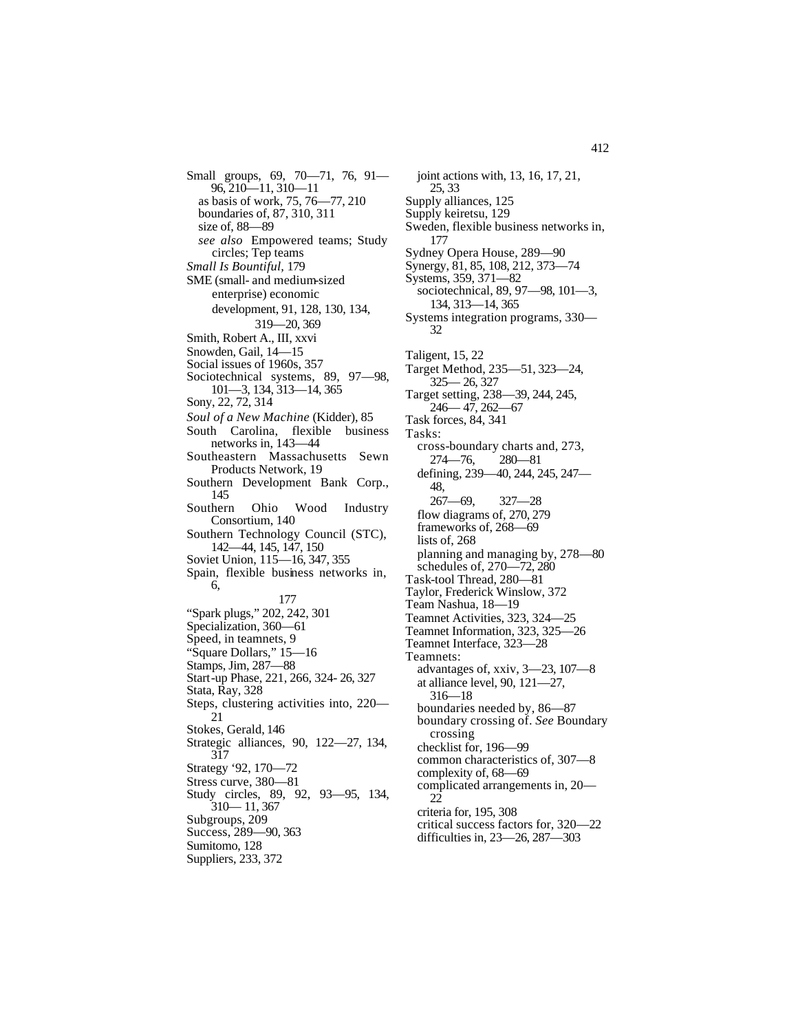Small groups, 69, 70—71, 76, 91— 96, 210—11, 310—11 as basis of work, 75, 76—77, 210 boundaries of, 87, 310, 311 size of, 88—89 *see also* Empowered teams; Study circles; Tep teams *Small Is Bountiful,* 179 SME (small- and medium-sized enterprise) economic development, 91, 128, 130, 134, 319—20, 369 Smith, Robert A., III, xxvi Snowden, Gail, 14—15 Social issues of 1960s, 357 Sociotechnical systems, 89, 97—98, 101—3, 134, 313—14, 365 Sony, 22, 72, 314 *Soul of a New Machine* (Kidder), 85 South Carolina, flexible business networks in, 143—44 Southeastern Massachusetts Sewn Products Network, 19 Southern Development Bank Corp., 145 Southern Ohio Wood Industry Consortium, 140 Southern Technology Council (STC), 142—44, 145, 147, 150 Soviet Union, 115—16, 347, 355 Spain, flexible business networks in, 6, 177 "Spark plugs," 202, 242, 301 Specialization, 360—61 Speed, in teamnets, 9 "Square Dollars," 15—16 Stamps, Jim, 287—88 Start-up Phase, 221, 266, 324- 26, 327 Stata, Ray, 328 Steps, clustering activities into, 220— 21 Stokes, Gerald, 146 Strategic alliances, 90, 122—27, 134, 317 Strategy '92, 170—72 Stress curve, 380—81 Study circles, 89, 92, 93—95, 134, 310— 11, 367 Subgroups, 209 Success, 289—90, 363 Sumitomo, 128

Suppliers, 233, 372

joint actions with, 13, 16, 17, 21, 25, 33 Supply alliances, 125 Supply keiretsu, 129 Sweden, flexible business networks in, 177 Sydney Opera House, 289—90 Synergy, 81, 85, 108, 212, 373—74 Systems, 359, 371—82 sociotechnical, 89, 97—98, 101—3, 134, 313—14, 365 Systems integration programs, 330— 32 Taligent, 15, 22 Target Method, 235—51, 323—24, 325— 26, 327 Target setting, 238—39, 244, 245, 246— 47, 262—67 Task forces, 84, 341 Tasks: cross-boundary charts and, 273, 274—76, 280—81 defining, 239—40, 244, 245, 247— 48, 267—69, 327—28 flow diagrams of, 270, 279 frameworks of, 268—69 lists of, 268 planning and managing by, 278—80 schedules of, 270—72, 280 Task-tool Thread, 280—81 Taylor, Frederick Winslow, 372 Team Nashua, 18—19 Teamnet Activities, 323, 324—25 Teamnet Information, 323, 325—26 Teamnet Interface, 323—28 Teamnets: advantages of, xxiv, 3—23, 107—8 at alliance level, 90, 121—27, 316—18 boundaries needed by, 86—87 boundary crossing of. *See* Boundary crossing checklist for, 196—99 common characteristics of, 307—8 complexity of, 68—69 complicated arrangements in, 20— 22 criteria for, 195, 308 critical success factors for, 320—22 difficulties in, 23—26, 287—303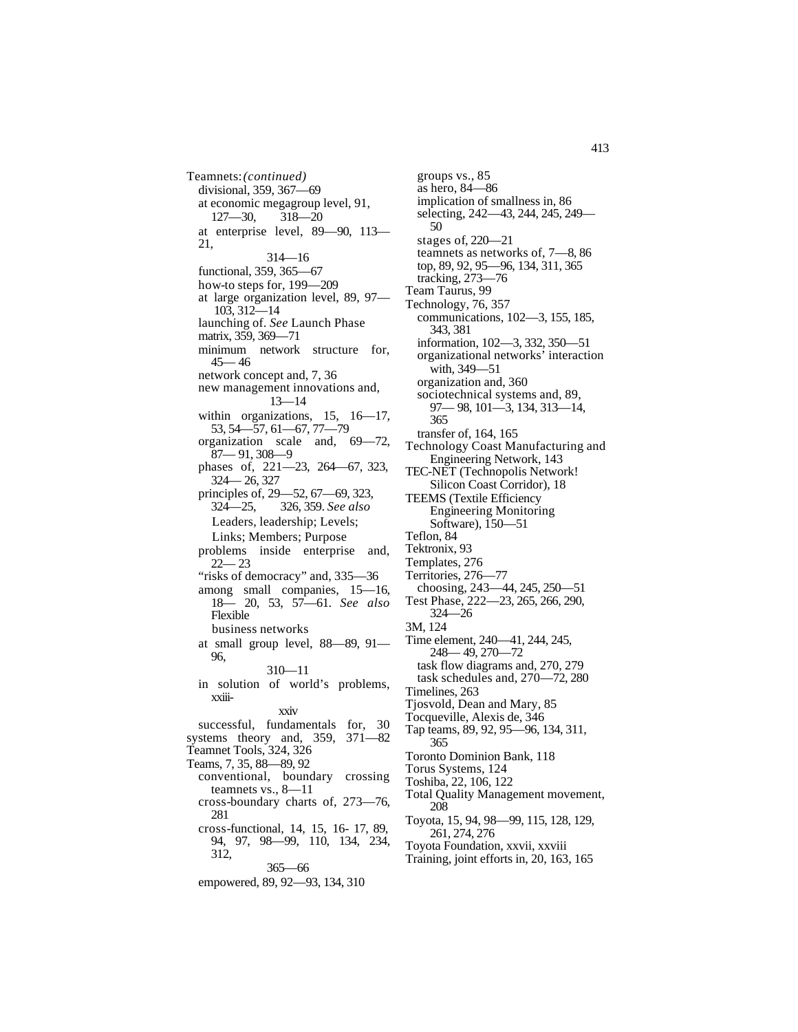Teamnets:*(continued)* divisional, 359, 367—69 at economic megagroup level, 91, 127—30, 318—20 at enterprise level, 89—90, 113— 21, 314—16 functional, 359, 365—67 how-to steps for, 199—209 at large organization level, 89, 97— 103, 312—14 launching of. *See* Launch Phase matrix, 359, 369—71 minimum network structure for,  $45 - 46$ network concept and, 7, 36 new management innovations and, 13—14 within organizations, 15, 16—17, 53, 54—57, 61—67, 77—79 organization scale and, 69—72, 87— 91, 308—9 phases of, 221—23, 264—67, 323, 324— 26, 327 principles of, 29—52, 67—69, 323, 324—25, 326, 359. *See also* Leaders, leadership; Levels; Links; Members; Purpose problems inside enterprise and, 22— 23 "risks of democracy" and, 335-36 among small companies, 15—16, 18— 20, 53, 57—61. *See also* Flexible business networks at small group level, 88—89, 91— 96, 310—11 in solution of world's problems, xxiiixxiv successful, fundamentals for, 30 systems theory and, 359, 371—82 Teamnet Tools, 324, 326 Teams, 7, 35, 88—89, 92 conventional, boundary crossing teamnets vs., 8—11 cross-boundary charts of, 273—76, 281 cross-functional, 14, 15, 16- 17, 89, 94, 97, 98—99, 110, 134, 234, 312,

## 365—66

empowered, 89, 92—93, 134, 310

groups vs., 85 as hero, 84—86 implication of smallness in, 86 selecting, 242—43, 244, 245, 249— 50 stages of, 220—21 teamnets as networks of, 7—8, 86 top, 89, 92, 95—96, 134, 311, 365 tracking, 273—76 Team Taurus, 99 Technology, 76, 357 communications, 102—3, 155, 185, 343, 381 information, 102—3, 332, 350—51 organizational networks' interaction with, 349—51 organization and, 360 sociotechnical systems and, 89, 97— 98, 101—3, 134, 313—14, 365 transfer of, 164, 165 Technology Coast Manufacturing and Engineering Network, 143 TEC-NET (Technopolis Network! Silicon Coast Corridor), 18 TEEMS (Textile Efficiency Engineering Monitoring Software), 150—51 Teflon, 84 Tektronix, 93 Templates, 276 Territories, 276—77 choosing, 243—44, 245, 250—51 Test Phase, 222—23, 265, 266, 290, 324—26 3M, 124 Time element, 240—41, 244, 245, 248— 49, 270—72 task flow diagrams and, 270, 279 task schedules and, 270—72, 280 Timelines, 263 Tjosvold, Dean and Mary, 85 Tocqueville, Alexis de, 346 Tap teams, 89, 92, 95—96, 134, 311, 365 Toronto Dominion Bank, 118 Torus Systems, 124 Toshiba, 22, 106, 122 Total Quality Management movement, 208 Toyota, 15, 94, 98—99, 115, 128, 129,

- 261, 274, 276 Toyota Foundation, xxvii, xxviii
- Training, joint efforts in, 20, 163, 165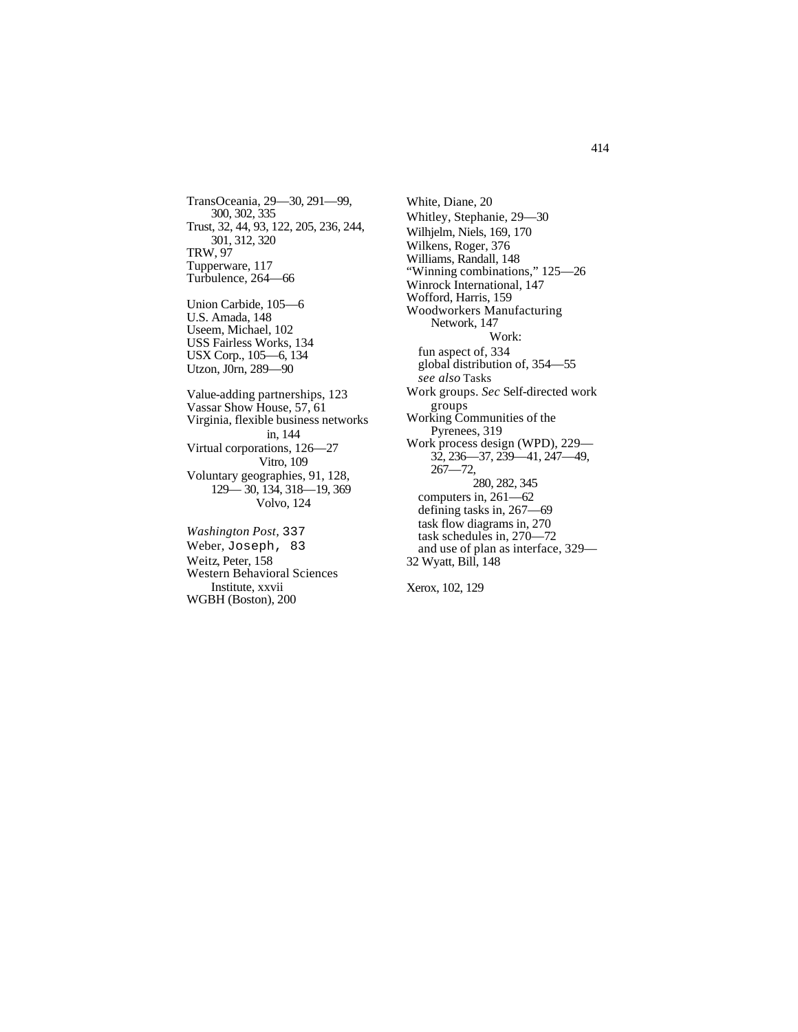TransOceania, 29—30, 291—99, 300, 302, 335 Trust, 32, 44, 93, 122, 205, 236, 244, 301, 312, 320 TRW, 97 Tupperware, 117 Turbulence, 264—66

Union Carbide, 105—6 U.S. Amada, 148 Useem, Michael, 102 USS Fairless Works, 134 USX Corp., 105—6, 134 Utzon, J0rn, 289—90

Value-adding partnerships, 123 Vassar Show House, 57, 61 Virginia, flexible business networks in, 144 Virtual corporations, 126—27 Vitro, 109 Voluntary geographies, 91, 128, 129— 30, 134, 318—19, 369 Volvo, 124

*Washington Post,* 337 Weber, Joseph, 83 Weitz, Peter, 158 Western Behavioral Sciences Institute, xxvii WGBH (Boston), 200

White, Diane, 20 Whitley, Stephanie, 29—30 Wilhjelm, Niels, 169, 170 Wilkens, Roger, 376 Williams, Randall, 148 "Winning combinations," 125—26 Winrock International, 147 Wofford, Harris, 159 Woodworkers Manufacturing Network, 147 Work: fun aspect of, 334 global distribution of, 354—55 *see also* Tasks Work groups. *Sec* Self-directed work groups Working Communities of the Pyrenees, 319 Work process design (WPD), 229— 32, 236—37, 239—41, 247—49, 267—72, 280, 282, 345 computers in, 261—62 defining tasks in, 267—69 task flow diagrams in, 270 task schedules in, 270—72 and use of plan as interface, 329— 32 Wyatt, Bill, 148

Xerox, 102, 129